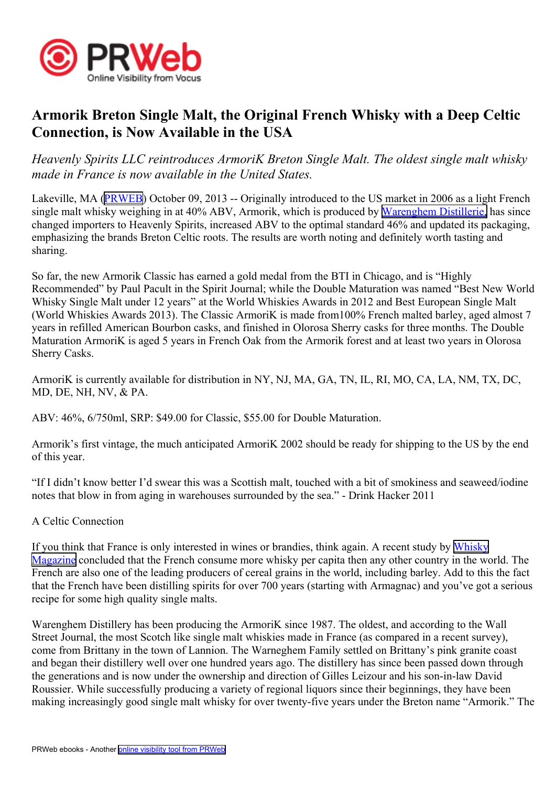

## **Armorik Breton Single Malt, the Original French Whisky with <sup>a</sup> Deep Celtic Connection, is Now Available in the USA**

*Heavenly Spirits LLC reintroduces ArmoriK Breton Single Malt. The oldest single malt whisky made in France is now available in the United States.*

Lakeville, MA ([PRWEB](http://www.prweb.com)) October 09, 2013 -- Originally introduced to the US market in 2006 as a light French single malt whisky weighing in at 40% ABV, Armorik, which is produced by [Warenghem](http://www.distillerie-warenghem.com/uk/presentation.php) Distillerie, has since changed importers to Heavenly Spirits, increased ABV to the optimal standard 46% and updated its packaging, emphasizing the brands Breton Celtic roots. The results are worth noting and definitely worth tasting and sharing.

So far, the new Armorik Classic has earned <sup>a</sup> gold medal from the BTI in Chicago, and is "Highly Recommended" by Paul Pacult in the Spirit Journal; while the Double Maturation was named "Best New World Whisky Single Malt under 12 years" at the World Whiskies Awards in 2012 and Best European Single Malt (World Whiskies Awards 2013). The Classic ArmoriK is made from100% French malted barley, aged almost 7 years in refilled American Bourbon casks, and finished in Olorosa Sherry casks for three months. The Double Maturation ArmoriK is aged 5 years in French Oak from the Armorik forest and at least two years in Olorosa Sherry Casks.

ArmoriK is currently available for distribution in NY, NJ, MA, GA, TN, IL, RI, MO, CA, LA, NM, TX, DC, MD, DE, NH, NV, & PA.

ABV: 46%, 6/750ml, SRP: \$49.00 for Classic, \$55.00 for Double Maturation.

Armorik's first vintage, the much anticipated ArmoriK 2002 should be ready for shipping to the US by the end of this year.

"If I didn't know better I'd swear this was <sup>a</sup> Scottish malt, touched with <sup>a</sup> bit of smokiness and seaweed/iodine notes that blow in from aging in warehouses surrounded by the sea." - Drink Hacker 2011

## A Celtic Connection

If you think that France is only interested in wines or brandies, think again. A recent study by [Whisky](http://www.whiskymag.com/forum/viewtopic.php?t=19578) [Magazine](http://www.whiskymag.com/forum/viewtopic.php?t=19578) concluded that the French consume more whisky per capita then any other country in the world. The French are also one of the leading producers of cereal grains in the world, including barley. Add to this the fact that the French have been distilling spirits for over 700 years (starting with Armagnac) and you've go<sup>t</sup> <sup>a</sup> serious recipe for some high quality single malts.

Warenghem Distillery has been producing the ArmoriK since 1987. The oldest, and according to the Wall Street Journal, the most Scotch like single malt whiskies made in France (as compared in <sup>a</sup> recent survey), come from Brittany in the town of Lannion. The Warneghem Family settled on Brittany's pink granite coast and began their distillery well over one hundred years ago. The distillery has since been passed down through the generations and is now under the ownership and direction of Gilles Leizour and his son-in-law David Roussier. While successfully producing <sup>a</sup> variety of regional liquors since their beginnings, they have been making increasingly good single malt whisky for over twenty-five years under the Breton name "Armorik." The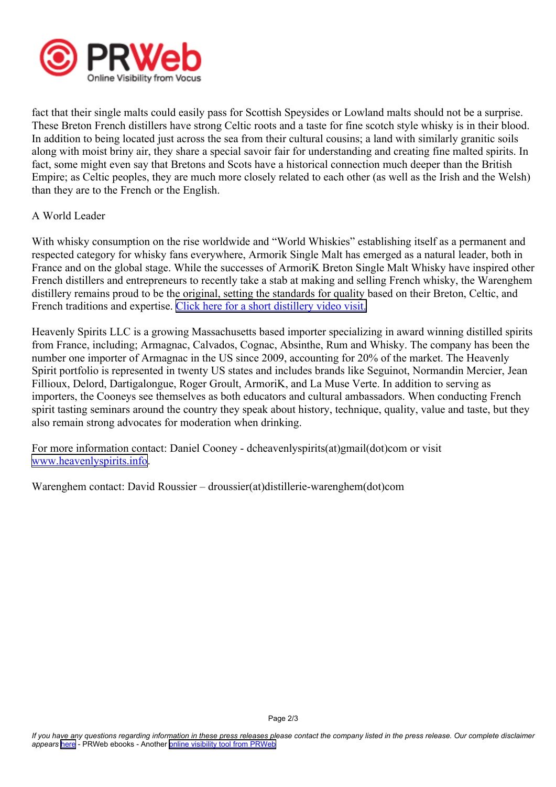

fact that their single malts could easily pass for Scottish Speysides or Lowland malts should not be <sup>a</sup> surprise. These Breton French distillers have strong Celtic roots and <sup>a</sup> taste for fine scotch style whisky is in their blood. In addition to being located just across the sea from their cultural cousins; <sup>a</sup> land with similarly granitic soils along with moist briny air, they share <sup>a</sup> special savoir fair for understanding and creating fine malted spirits. In fact, some might even say that Bretons and Scots have <sup>a</sup> historical connection much deeper than the British Empire; as Celtic peoples, they are much more closely related to each other (as well as the Irish and the Welsh) than they are to the French or the English.

## A World Leader

With whisky consumption on the rise worldwide and "World Whiskies" establishing itself as a permanent and respected category for whisky fans everywhere, Armorik Single Malt has emerged as <sup>a</sup> natural leader, both in France and on the global stage. While the successes of ArmoriK Breton Single Malt Whisky have inspired other French distillers and entrepreneurs to recently take <sup>a</sup> stab at making and selling French whisky, the Warenghem distillery remains proud to be the original, setting the standards for quality based on their Breton, Celtic, and French traditions and expertise. Click here for <sup>a</sup> short [distillery](http://youtu.be/-HCucuSvTvE) video visit.

Heavenly Spirits LLC is <sup>a</sup> growing Massachusetts based importer specializing in award winning distilled spirits from France, including; Armagnac, Calvados, Cognac, Absinthe, Rum and Whisky. The company has been the number one importer of Armagnac in the US since 2009, accounting for 20% of the market. The Heavenly Spirit portfolio is represented in twenty US states and includes brands like Seguinot, Normandin Mercier, Jean Fillioux, Delord, Dartigalongue, Roger Groult, ArmoriK, and La Muse Verte. In addition to serving as importers, the Cooneys see themselves as both educators and cultural ambassadors. When conducting French spirit tasting seminars around the country they speak about history, technique, quality, value and taste, but they also remain strong advocates for moderation when drinking.

For more information contact: Daniel Cooney - dcheavenlyspirits(at)gmail(dot)com or visit [www.heavenlyspirits.info](http://www.heavenlyspirits.info).

Warenghem contact: David Roussier – droussier(at)distillerie-warenghem(dot)com